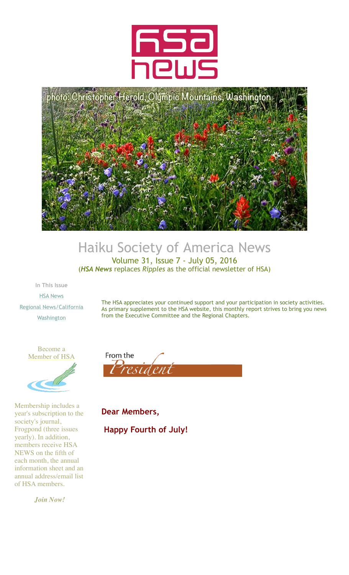



#### Haiku Society of America News Volume 31, Issue 7 - July 05, 2016 (*HSA News* replaces *Ripples* as the official newsletter of HSA)

**In This Issue** [HSA News](http://archive.constantcontact.com/fs123/1106162827962/archive/1125158471129.html#LETTER.BLOCK31) [Regional News/California](http://archive.constantcontact.com/fs123/1106162827962/archive/1125158471129.html#LETTER.BLOCK34) **[Washington](http://archive.constantcontact.com/fs123/1106162827962/archive/1125158471129.html#LETTER.BLOCK37)** 

The HSA appreciates your continued support and your participation in society activities. As primary supplement to the HSA website, this monthly report strives to bring you news from the Executive Committee and the Regional Chapters.





Membership includes a year's subscription to the society's journal, Frogpond (three issues yearly). In addition, members receive HSA NEWS on the fifth of each month, the annual information sheet and an annual address/email list of HSA members.

*[Join Now!](http://www.hsa-haiku.org/join.htm)*



**Dear Members, Happy Fourth of July!**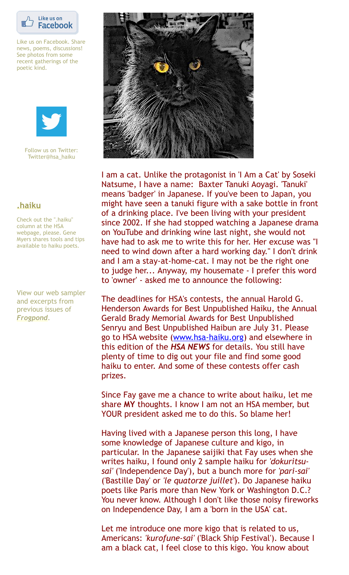

Like us on Facebook. Share news, poems, discussions! See photos from some recent gatherings of the poetic kind.



Follow us on Twitter: Twitter@hsa\_haiku

#### **[.haiku](http://www.hsa-haiku.org/haiku-column.htm)**

Check out the ".haiku" column at the HSA webpage, please. Gene Myers shares tools and tips available to haiku poets.

View our web sampler and excerpts from previous issues of *[Frogpond](http://www.hsa-haiku.org/frogpond/previousissues.html)*.



I am a cat. Unlike the protagonist in 'I Am a Cat' by Soseki Natsume, I have a name: Baxter Tanuki Aoyagi. 'Tanuki' means 'badger' in Japanese. If you've been to Japan, you might have seen a tanuki figure with a sake bottle in front of a drinking place. I've been living with your president since 2002. If she had stopped watching a Japanese drama on YouTube and drinking wine last night, she would not have had to ask me to write this for her. Her excuse was "I need to wind down after a hard working day." I don't drink and I am a stay-at-home-cat. I may not be the right one to judge her... Anyway, my housemate - I prefer this word to 'owner' - asked me to announce the following:

The deadlines for HSA's contests, the annual Harold G. Henderson Awards for Best Unpublished Haiku, the Annual Gerald Brady Memorial Awards for Best Unpublished Senryu and Best Unpublished Haibun are July 31. Please go to HSA website ([www.hsa-haiku.org](http://www.hsa-haiku.org/)) and elsewhere in this edition of the *HSA NEWS* for details. You still have plenty of time to dig out your file and find some good haiku to enter. And some of these contests offer cash prizes.

Since Fay gave me a chance to write about haiku, let me share **MY** thoughts. I know I am not an HSA member, but YOUR president asked me to do this. So blame her!

Having lived with a Japanese person this long, I have some knowledge of Japanese culture and kigo, in particular. In the Japanese saijiki that Fay uses when she writes haiku, I found only 2 sample haiku for *'dokuritsusai'* ('Independence Day'), but a bunch more for *'pari-sai'* ('Bastille Day' or *'le quatorze juillet'*). Do Japanese haiku poets like Paris more than New York or Washington D.C.? You never know. Although I don't like those noisy fireworks on Independence Day, I am a 'born in the USA' cat.

Let me introduce one more kigo that is related to us, Americans: *'kurofune-sai'* ('Black Ship Festival'). Because I am a black cat, I feel close to this kigo. You know about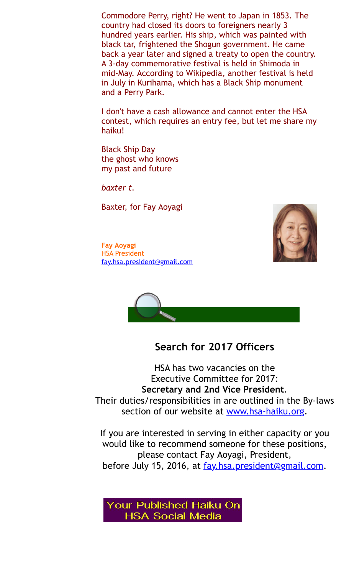Commodore Perry, right? He went to Japan in 1853. The country had closed its doors to foreigners nearly 3 hundred years earlier. His ship, which was painted with black tar, frightened the Shogun government. He came back a year later and signed a treaty to open the country. A 3-day commemorative festival is held in Shimoda in mid-May. According to Wikipedia, another festival is held in July in Kurihama, which has a Black Ship monument and a Perry Park.

I don't have a cash allowance and cannot enter the HSA contest, which requires an entry fee, but let me share my haiku!

Black Ship Day the ghost who knows my past and future

*baxter t.*

Baxter, for Fay Aoyagi

**Fay Aoyagi** HSA President [fay.hsa.president@gmail.com](mailto:fay.hsa.president@gmail.com)



# **Search for 2017 Officers**

HSA has two vacancies on the Executive Committee for 2017: **Secretary and 2nd Vice President**. Their duties/responsibilities in are outlined in the By-laws section of our website at [www.hsa-haiku.org.](http://www.hsa-haiku.org/)

If you are interested in serving in either capacity or you would like to recommend someone for these positions, please contact Fay Aoyagi, President, before July 15, 2016, at fay hsa.president@gmail.com.

Your Published Haiku On **HSA Social Media**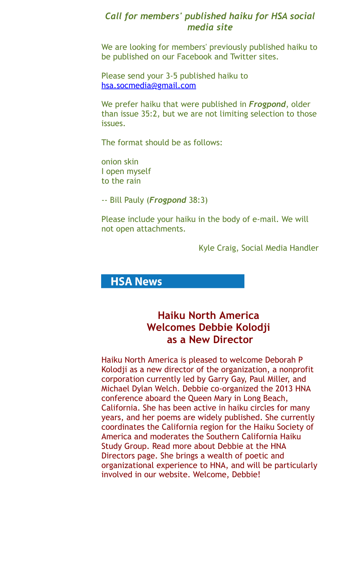#### *Call for members' published haiku for HSA social media site*

We are looking for members' previously published haiku to be published on our Facebook and Twitter sites.

Please send your 3-5 published haiku to [hsa.socmedia@gmail.com](mailto:hsa.socmedia@gmail.com)

We prefer haiku that were published in *Frogpond*, older than issue 35:2, but we are not limiting selection to those issues.

The format should be as follows:

onion skin I open myself to the rain

-- Bill Pauly (*Frogpond* 38:3)

Please include your haiku in the body of e-mail. We will not open attachments.

Kyle Craig, Social Media Handler

## **HSA News**

## **Haiku North America Welcomes Debbie Kolodji as a New Director**

Haiku North America is pleased to welcome Deborah P Kolodji as a new director of the organization, a nonprofit corporation currently led by Garry Gay, Paul Miller, and Michael Dylan Welch. Debbie co-organized the 2013 HNA conference aboard the Queen Mary in Long Beach, California. She has been active in haiku circles for many years, and her poems are widely published. She currently coordinates the California region for the Haiku Society of America and moderates the Southern California Haiku Study Group. Read more about Debbie at the HNA Directors page. She brings a wealth of poetic and organizational experience to HNA, and will be particularly involved in our website. Welcome, Debbie!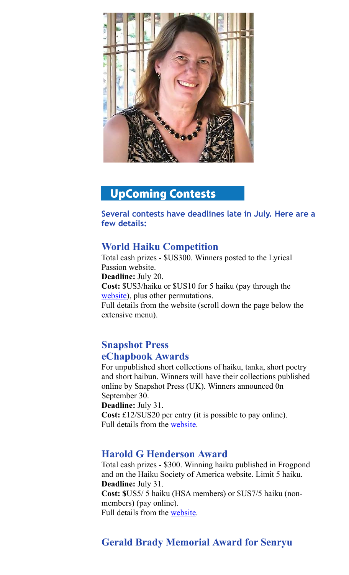

# **UpComing Contests**

**Several contests have deadlines late in July. Here are a few details:**

#### **World Haiku Competition**

Total cash prizes - \$US300. Winners posted to the Lyrical Passion website. **Deadline:** July 20. **Cost:** \$US3/haiku or \$US10 for 5 haiku (pay through the [website](http://lyricalpassionpoetry.yolasite.com/2016-world-haiku-contest-open.php)), plus other permutations. Full details from the website (scroll down the page below the extensive menu).

#### **Snapshot Press eChapbook Awards**

For unpublished short collections of haiku, tanka, short poetry and short haibun. Winners will have their collections published online by Snapshot Press (UK). Winners announced 0n September 30.

**Deadline:** July 31.

**Cost:** £12/\$US20 per entry (it is possible to pay online). Full details from the [website](http://www.snapshotpress.co.uk/contests/echapbook_awards/guidelines.htm).

#### **Harold G Henderson Award**

Total cash prizes - \$300. Winning haiku published in Frogpond and on the Haiku Society of America website. Limit 5 haiku. **Deadline:** July 31. **Cost: \$**US5/ 5 haiku (HSA members) or \$US7/5 haiku (nonmembers) (pay online). Full details from the [website](http://www.hsa-haiku.org/hsa-contests.htm#henderson).

## **Gerald Brady Memorial Award for Senryu**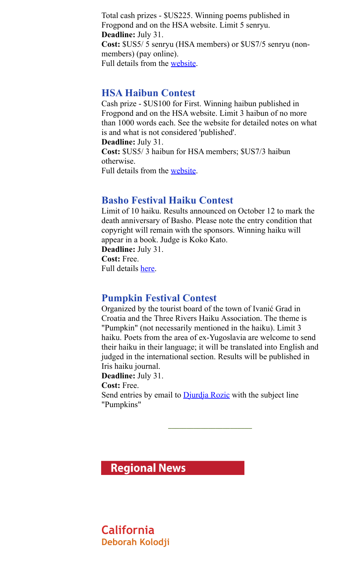Total cash prizes - \$US225. Winning poems published in Frogpond and on the HSA website. Limit 5 senryu. **Deadline:** July 31. **Cost:** \$US5/ 5 senryu (HSA members) or \$US7/5 senryu (nonmembers) (pay online). Full details from the [website](http://www.hsa-haiku.org/hsa-contests.htm#brady).

#### **HSA Haibun Contest**

Cash prize - \$US100 for First. Winning haibun published in Frogpond and on the HSA website. Limit 3 haibun of no more than 1000 words each. See the website for detailed notes on what is and what is not considered 'published'.

**Deadline:** July 31.

**Cost:** \$US5/ 3 haibun for HSA members; \$US7/3 haibun otherwise.

Full details from the [website](http://www.hsa-haiku.org/hsa-contests.htm#haibun).

## **Basho Festival Haiku Contest**

Limit of 10 haiku. Results announced on October 12 to mark the death anniversary of Basho. Please note the entry condition that copyright will remain with the sponsors. Winning haiku will appear in a book. Judge is Koko Kato.

**Deadline:** July 31. **Cost:** Free.

Full details [here](http://www.basho-bp.jp/en/wp-content/uploads/sites/2/2014/05/Matsuo-Basho-Poetry-Offerings27.pdf).

## **Pumpkin Festival Contest**

Organized by the tourist board of the town of Ivanić Grad in Croatia and the Three Rivers Haiku Association. The theme is "Pumpkin" (not necessarily mentioned in the haiku). Limit 3 haiku. Poets from the area of ex-Yugoslavia are welcome to send their haiku in their language; it will be translated into English and judged in the international section. Results will be published in Iris haiku journal.

**Deadline:** July 31.

**Cost:** Free.

Send entries by email to [Djurdja Rozic](mailto:dvrozic@gmail.com) with the subject line "Pumpkins"

\_\_\_\_\_\_\_\_\_\_\_\_\_\_\_\_\_\_\_\_\_\_\_

**Regional News** 

**California Deborah Kolodji**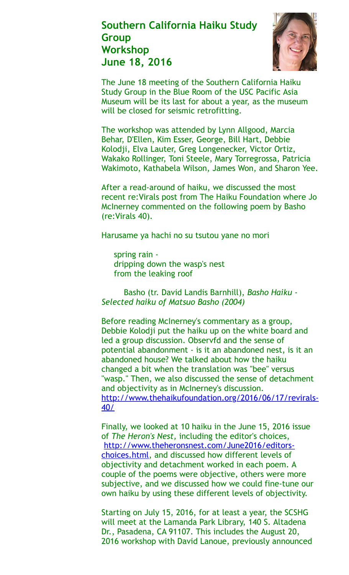## **Southern California Haiku Study Group Workshop June 18, 2016**



The June 18 meeting of the Southern California Haiku Study Group in the Blue Room of the USC Pacific Asia Museum will be its last for about a year, as the museum will be closed for seismic retrofitting.

The workshop was attended by Lynn Allgood, Marcia Behar, D'Ellen, Kim Esser, George, Bill Hart, Debbie Kolodji, Elva Lauter, Greg Longenecker, Victor Ortiz, Wakako Rollinger, Toni Steele, Mary Torregrossa, Patricia Wakimoto, Kathabela Wilson, James Won, and Sharon Yee.

After a read-around of haiku, we discussed the most recent re:Virals post from The Haiku Foundation where Jo McInerney commented on the following poem by Basho (re:Virals 40).

Harusame ya hachi no su tsutou yane no mori

 spring rain dripping down the wasp's nest from the leaking roof

 Basho (tr. David Landis Barnhill), *Basho Haiku - Selected haiku of Matsuo Basho (2004)*

Before reading McInerney's commentary as a group, Debbie Kolodji put the haiku up on the white board and led a group discussion. Observfd and the sense of potential abandonment - is it an abandoned nest, is it an abandoned house? We talked about how the haiku changed a bit when the translation was "bee" versus "wasp." Then, we also discussed the sense of detachment and objectivity as in McInerney's discussion. [http://www.thehaikufoundation.org/2016/06/17/revirals-](http://www.thehaikufoundation.orgundefined/)40/

Finally, we looked at 10 haiku in the June 15, 2016 issue of *The Heron's Nest,* including the editor's choices, [http://www.theheronsnest.com/June2016/editors](http://www.theheronsnest.com/June2016/editors-choices.html)choices.html, and discussed how different levels of objectivity and detachment worked in each poem. A couple of the poems were objective, others were more subjective, and we discussed how we could fine-tune our own haiku by using these different levels of objectivity.

Starting on July 15, 2016, for at least a year, the SCSHG will meet at the Lamanda Park Library, 140 S. Altadena Dr., Pasadena, CA 91107. This includes the August 20, 2016 workshop with David Lanoue, previously announced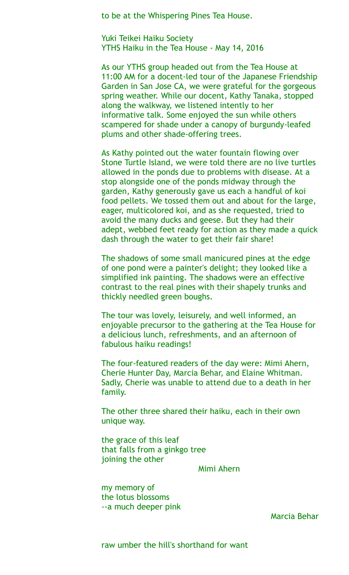to be at the Whispering Pines Tea House.

Yuki Teikei Haiku Society YTHS Haiku in the Tea House - May 14, 2016

As our YTHS group headed out from the Tea House at 11:00 AM for a docent-led tour of the Japanese Friendship Garden in San Jose CA, we were grateful for the gorgeous spring weather. While our docent, Kathy Tanaka, stopped along the walkway, we listened intently to her informative talk. Some enjoyed the sun while others scampered for shade under a canopy of burgundy-leafed plums and other shade-offering trees.

As Kathy pointed out the water fountain flowing over Stone Turtle Island, we were told there are no live turtles allowed in the ponds due to problems with disease. At a stop alongside one of the ponds midway through the garden, Kathy generously gave us each a handful of koi food pellets. We tossed them out and about for the large, eager, multicolored koi, and as she requested, tried to avoid the many ducks and geese. But they had their adept, webbed feet ready for action as they made a quick dash through the water to get their fair share!

The shadows of some small manicured pines at the edge of one pond were a painter's delight; they looked like a simplified ink painting. The shadows were an effective contrast to the real pines with their shapely trunks and thickly needled green boughs.

The tour was lovely, leisurely, and well informed, an enjoyable precursor to the gathering at the Tea House for a delicious lunch, refreshments, and an afternoon of fabulous haiku readings!

The four-featured readers of the day were: Mimi Ahern, Cherie Hunter Day, Marcia Behar, and Elaine Whitman. Sadly, Cherie was unable to attend due to a death in her family.

The other three shared their haiku, each in their own unique way.

the grace of this leaf that falls from a ginkgo tree joining the other

Mimi Ahern

my memory of the lotus blossoms --a much deeper pink

Marcia Behar

raw umber the hill's shorthand for want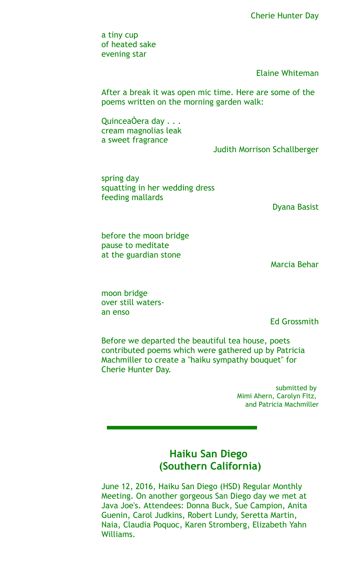a tiny cup of heated sake evening star

Elaine Whiteman

After a break it was open mic time. Here are some of the poems written on the morning garden walk:

QuinceaÒera day . . . cream magnolias leak a sweet fragrance

Judith Morrison Schallberger

spring day squatting in her wedding dress feeding mallards

Dyana Basist

before the moon bridge pause to meditate at the guardian stone

Marcia Behar

moon bridge over still watersan enso

Ed Grossmith

Before we departed the beautiful tea house, poets contributed poems which were gathered up by Patricia Machmiller to create a "haiku sympathy bouquet" for Cherie Hunter Day.

> submitted by Mimi Ahern, Carolyn Fitz, and Patricia Machmiller

## **Haiku San Diego (Southern California)**

June 12, 2016, Haiku San Diego (HSD) Regular Monthly Meeting. On another gorgeous San Diego day we met at Java Joe's. Attendees: Donna Buck, Sue Campion, Anita Guenin, Carol Judkins, Robert Lundy, Seretta Martin, Naia, Claudia Poquoc, Karen Stromberg, Elizabeth Yahn Williams.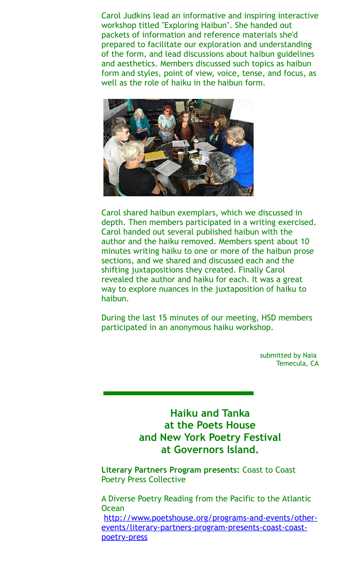Carol Judkins lead an informative and inspiring interactive workshop titled "Exploring Haibun". She handed out packets of information and reference materials she'd prepared to facilitate our exploration and understanding of the form, and lead discussions about haibun guidelines and aesthetics. Members discussed such topics as haibun form and styles, point of view, voice, tense, and focus, as well as the role of haiku in the haibun form.



Carol shared haibun exemplars, which we discussed in depth. Then members participated in a writing exercised. Carol handed out several published haibun with the author and the haiku removed. Members spent about 10 minutes writing haiku to one or more of the haibun prose sections, and we shared and discussed each and the shifting juxtapositions they created. Finally Carol revealed the author and haiku for each. It was a great way to explore nuances in the juxtaposition of haiku to haibun.

During the last 15 minutes of our meeting, HSD members participated in an anonymous haiku workshop.

> submitted by Naia Temecula, CA

**Haiku and Tanka at the Poets House and New York Poetry Festival at Governors Island.**

**Literary Partners Program presents:** Coast to Coast Poetry Press Collective

A Diverse Poetry Reading from the Pacific to the Atlantic **Ocean** [http://www.poetshouse.org/programs-and-events/other](http://www.poetshouse.org/programs-and-events/other-events/literary-partners-program-presents-coast-coast-poetry-press)events/literary-partners-program-presents-coast-coastpoetry-press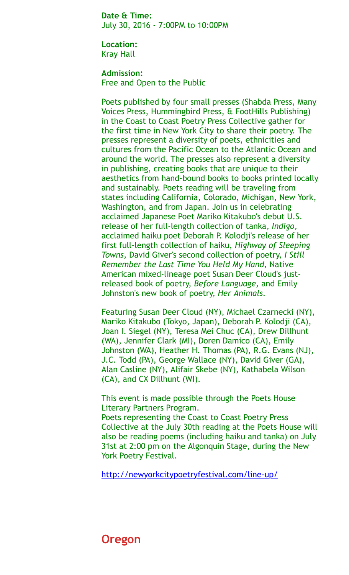**Date & Time:**  July 30, 2016 - 7:00PM to 10:00PM

**Location:**  Kray Hall

**Admission:**  Free and Open to the Public

Poets published by four small presses (Shabda Press, Many Voices Press, Hummingbird Press, & FootHills Publishing) in the Coast to Coast Poetry Press Collective gather for the first time in New York City to share their poetry. The presses represent a diversity of poets, ethnicities and cultures from the Pacific Ocean to the Atlantic Ocean and around the world. The presses also represent a diversity in publishing, creating books that are unique to their aesthetics from hand-bound books to books printed locally and sustainably. Poets reading will be traveling from states including California, Colorado, Michigan, New York, Washington, and from Japan. Join us in celebrating acclaimed Japanese Poet Mariko Kitakubo's debut U.S. release of her full-length collection of tanka, *Indigo,* acclaimed haiku poet Deborah P. Kolodji's release of her first full-length collection of haiku, *Highway of Sleeping Towns,* David Giver's second collection of poetry, *I Still Remember the Last Time You Held My Hand,* Native American mixed-lineage poet Susan Deer Cloud's justreleased book of poetry, *Before Language,* and Emily Johnston's new book of poetry, *Her Animals.*

Featuring Susan Deer Cloud (NY), Michael Czarnecki (NY), Mariko Kitakubo (Tokyo, Japan), Deborah P. Kolodji (CA), Joan I. Siegel (NY), Teresa Mei Chuc (CA), Drew Dillhunt (WA), Jennifer Clark (MI), Doren Damico (CA), Emily Johnston (WA), Heather H. Thomas (PA), R.G. Evans (NJ), J.C. Todd (PA), George Wallace (NY), David Giver (GA), Alan Casline (NY), Alifair Skebe (NY), Kathabela Wilson (CA), and CX Dillhunt (WI).

This event is made possible through the Poets House Literary Partners Program.

Poets representing the Coast to Coast Poetry Press Collective at the July 30th reading at the Poets House will also be reading poems (including haiku and tanka) on July 31st at 2:00 pm on the Algonquin Stage, during the New York Poetry Festival.

<http://newyorkcitypoetryfestival.com/line-up/>

## **Oregon**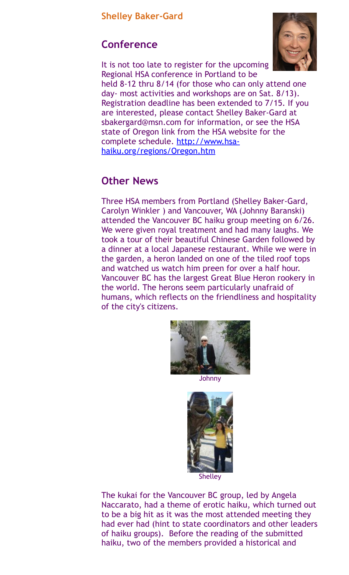# **Conference**



It is not too late to register for the upcoming Regional HSA conference in Portland to be held 8-12 thru 8/14 (for those who can only attend one day- most activities and workshops are on Sat. 8/13). Registration deadline has been extended to 7/15. If you are interested, please contact Shelley Baker-Gard at sbakergard@msn.com for information, or see the HSA state of Oregon link from the HSA website for the [complete schedule. http://www.hsa](http://www.hsa-haiku.org/regions/Oregon.htm)haiku.org/regions/Oregon.htm

## **Other News**

Three HSA members from Portland (Shelley Baker-Gard, Carolyn Winkler ) and Vancouver, WA (Johnny Baranski) attended the Vancouver BC haiku group meeting on 6/26. We were given royal treatment and had many laughs. We took a tour of their beautiful Chinese Garden followed by a dinner at a local Japanese restaurant. While we were in the garden, a heron landed on one of the tiled roof tops and watched us watch him preen for over a half hour. Vancouver BC has the largest Great Blue Heron rookery in the world. The herons seem particularly unafraid of humans, which reflects on the friendliness and hospitality of the city's citizens.



Johnny



The kukai for the Vancouver BC group, led by Angela Naccarato, had a theme of erotic haiku, which turned out to be a big hit as it was the most attended meeting they had ever had (hint to state coordinators and other leaders of haiku groups). Before the reading of the submitted haiku, two of the members provided a historical and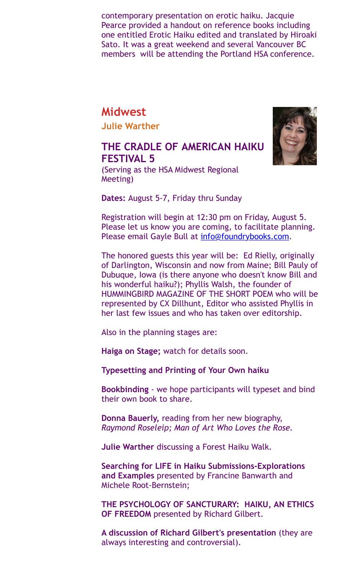contemporary presentation on erotic haiku. Jacquie Pearce provided a handout on reference books including one entitled Erotic Haiku edited and translated by Hiroaki Sato. It was a great weekend and several Vancouver BC members will be attending the Portland HSA conference.

# **Midwest**

**Julie Warther**

## **THE CRADLE OF AMERICAN HAIKU FESTIVAL 5**



(Serving as the HSA Midwest Regional Meeting)

**Dates:** August 5-7, Friday thru Sunday

Registration will begin at 12:30 pm on Friday, August 5. Please let us know you are coming, to facilitate planning. Please email Gayle Bull at [info@foundrybooks.com](mailto:info@foundrybooks.com).

The honored guests this year will be: Ed Rielly, originally of Darlington, Wisconsin and now from Maine; Bill Pauly of Dubuque, Iowa (is there anyone who doesn't know Bill and his wonderful haiku?); Phyllis Walsh, the founder of HUMMINGBIRD MAGAZINE OF THE SHORT POEM who will be represented by CX Dillhunt, Editor who assisted Phyllis in her last few issues and who has taken over editorship.

Also in the planning stages are:

**Haiga on Stage;** watch for details soon.

**Typesetting and Printing of Your Own haiku** 

**Bookbinding** - we hope participants will typeset and bind their own book to share.

**Donna Bauerly,** reading from her new biography, *Raymond Roseleip; Man of Art Who Loves the Rose.*

**Julie Warther** discussing a Forest Haiku Walk.

**Searching for LIFE in Haiku Submissions-Explorations and Examples** presented by Francine Banwarth and Michele Root-Bernstein;

**THE PSYCHOLOGY OF SANCTURARY: HAIKU, AN ETHICS OF FREEDOM** presented by Richard Gilbert.

**A discussion of Richard Gilbert's presentation** (they are always interesting and controversial).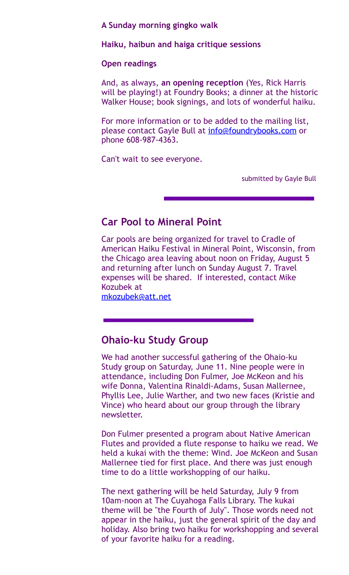**A Sunday morning gingko walk** 

**Haiku, haibun and haiga critique sessions**

#### **Open readings**

And, as always, **an opening reception** (Yes, Rick Harris will be playing!) at Foundry Books; a dinner at the historic Walker House; book signings, and lots of wonderful haiku.

For more information or to be added to the mailing list, please contact Gayle Bull at [info@foundrybooks.com](mailto:info@foundrybooks.com) or phone 608-987-4363.

Can't wait to see everyone.

submitted by Gayle Bull

#### **Car Pool to Mineral Point**

Car pools are being organized for travel to Cradle of American Haiku Festival in Mineral Point, Wisconsin, from the Chicago area leaving about noon on Friday, August 5 and returning after lunch on Sunday August 7. Travel expenses will be shared. If interested, contact Mike Kozubek at

#### [mkozubek@att.net](mailto:mkozubek@att.net)

#### **Ohaio-ku Study Group**

We had another successful gathering of the Ohaio-ku Study group on Saturday, June 11. Nine people were in attendance, including Don Fulmer, Joe McKeon and his wife Donna, Valentina Rinaldi-Adams, Susan Mallernee, Phyllis Lee, Julie Warther, and two new faces (Kristie and Vince) who heard about our group through the library newsletter.

Don Fulmer presented a program about Native American Flutes and provided a flute response to haiku we read. We held a kukai with the theme: Wind. Joe McKeon and Susan Mallernee tied for first place. And there was just enough time to do a little workshopping of our haiku.

The next gathering will be held Saturday, July 9 from 10am-noon at The Cuyahoga Falls Library. The kukai theme will be "the Fourth of July". Those words need not appear in the haiku, just the general spirit of the day and holiday. Also bring two haiku for workshopping and several of your favorite haiku for a reading.